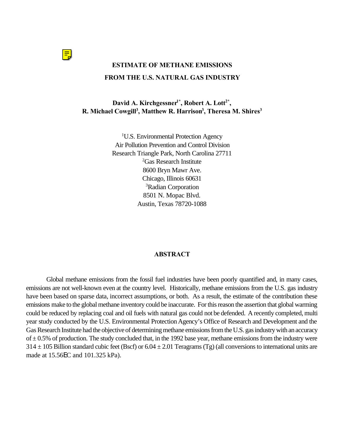E

# **David A. Kirchgessner1\*, Robert A. Lott2\* , R. Michael Cowgill<sup>3</sup> , Matthew R. Harrison<sup>3</sup> , Theresa M. Shires<sup>3</sup>**

<sup>1</sup>U.S. Environmental Protection Agency Air Pollution Prevention and Control Division Research Triangle Park, North Carolina 27711 <sup>2</sup>Gas Research Institute 8600 Bryn Mawr Ave. Chicago, Illinois 60631 <sup>3</sup>Radian Corporation 8501 N. Mopac Blvd. Austin, Texas 78720-1088

## **ABSTRACT**

Global methane emissions from the fossil fuel industries have been poorly quantified and, in many cases, emissions are not well-known even at the country level. Historically, methane emissions from the U.S. gas industry have been based on sparse data, incorrect assumptions, or both. As a result, the estimate of the contribution these emissions make to the global methane inventory could be inaccurate. For this reason the assertion that global warming could be reduced by replacing coal and oil fuels with natural gas could not be defended. A recently completed, multi year study conducted by the U.S. Environmental Protection Agency's Office of Research and Development and the Gas Research Institute had the objective of determining methane emissions from the U.S. gas industry with an accuracy of  $\pm$  0.5% of production. The study concluded that, in the 1992 base year, methane emissions from the industry were  $314 \pm 105$  Billion standard cubic feet (Bscf) or  $6.04 \pm 2.01$  Teragrams (Tg) (all conversions to international units are made at 15.56EC and 101.325 kPa).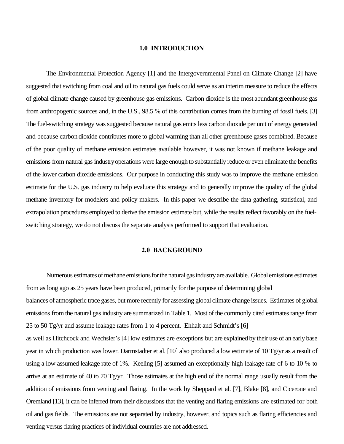## **1.0 INTRODUCTION**

The Environmental Protection Agency [1] and the Intergovernmental Panel on Climate Change [2] have suggested that switching from coal and oil to natural gas fuels could serve as an interim measure to reduce the effects of global climate change caused by greenhouse gas emissions. Carbon dioxide is the most abundant greenhouse gas from anthropogenic sources and, in the U.S., 98.5 % of this contribution comes from the burning of fossil fuels. [3] The fuel-switching strategy was suggested because natural gas emits less carbon dioxide per unit of energy generated and because carbon dioxide contributes more to global warming than all other greenhouse gases combined. Because of the poor quality of methane emission estimates available however, it was not known if methane leakage and emissions from natural gas industry operations were large enough to substantially reduce or even eliminate the benefits of the lower carbon dioxide emissions. Our purpose in conducting this study was to improve the methane emission estimate for the U.S. gas industry to help evaluate this strategy and to generally improve the quality of the global methane inventory for modelers and policy makers. In this paper we describe the data gathering, statistical, and extrapolation procedures employed to derive the emission estimate but, while the results reflect favorably on the fuelswitching strategy, we do not discuss the separate analysis performed to support that evaluation.

## **2.0 BACKGROUND**

Numerous estimates of methane emissions for the natural gas industry are available. Global emissions estimates from as long ago as 25 years have been produced, primarily for the purpose of determining global balances of atmospheric trace gases, but more recently for assessing global climate change issues. Estimates of global emissions from the natural gas industry are summarized in Table 1. Most of the commonly cited estimates range from 25 to 50 Tg/yr and assume leakage rates from 1 to 4 percent. Ehhalt and Schmidt's [6] as well as Hitchcock and Wechsler's [4] low estimates are exceptions but are explained by their use of an early base year in which production was lower. Darmstadter et al. [10] also produced a low estimate of 10 Tg/yr as a result of using a low assumed leakage rate of 1%. Keeling [5] assumed an exceptionally high leakage rate of 6 to 10 % to arrive at an estimate of 40 to 70 Tg/yr. Those estimates at the high end of the normal range usually result from the addition of emissions from venting and flaring. In the work by Sheppard et al. [7], Blake [8], and Cicerone and Oremland [13], it can be inferred from their discussions that the venting and flaring emissions are estimated for both oil and gas fields. The emissions are not separated by industry, however, and topics such as flaring efficiencies and venting versus flaring practices of individual countries are not addressed.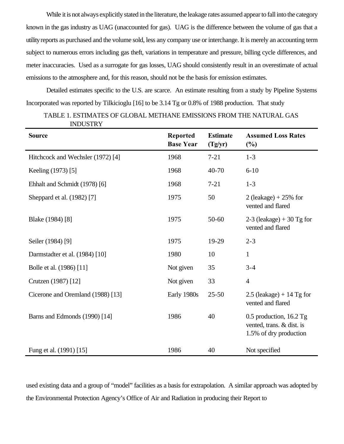While it is not always explicitly stated in the literature, the leakage rates assumed appear to fall into the category known in the gas industry as UAG (unaccounted for gas). UAG is the difference between the volume of gas that a utility reports as purchased and the volume sold, less any company use or interchange. It is merely an accounting term subject to numerous errors including gas theft, variations in temperature and pressure, billing cycle differences, and meter inaccuracies. Used as a surrogate for gas losses, UAG should consistently result in an overestimate of actual emissions to the atmosphere and, for this reason, should not be the basis for emission estimates.

Detailed estimates specific to the U.S. are scarce. An estimate resulting from a study by Pipeline Systems Incorporated was reported by Tilkicioglu [16] to be 3.14 Tg or 0.8% of 1988 production. That study

| <b>Source</b>                     | <b>Reported</b><br><b>Base Year</b> | <b>Estimate</b><br>(Tg/yr) | <b>Assumed Loss Rates</b><br>$(\%)$                                              |
|-----------------------------------|-------------------------------------|----------------------------|----------------------------------------------------------------------------------|
| Hitchcock and Wechsler (1972) [4] | 1968                                | $7 - 21$                   | $1 - 3$                                                                          |
| Keeling (1973) [5]                | 1968                                | 40-70                      | $6 - 10$                                                                         |
| Ehhalt and Schmidt (1978) [6]     | 1968                                | $7 - 21$                   | $1 - 3$                                                                          |
| Sheppard et al. (1982) [7]        | 1975                                | 50                         | 2 (leakage) $+25%$ for<br>vented and flared                                      |
| Blake (1984) [8]                  | 1975                                | 50-60                      | 2-3 (leakage) $+30$ Tg for<br>vented and flared                                  |
| Seiler (1984) [9]                 | 1975                                | 19-29                      | $2 - 3$                                                                          |
| Darmstadter et al. (1984) [10]    | 1980                                | 10                         | $\mathbf{1}$                                                                     |
| Bolle et al. (1986) [11]          | Not given                           | 35                         | $3 - 4$                                                                          |
| Crutzen (1987) [12]               | Not given                           | 33                         | $\overline{4}$                                                                   |
| Cicerone and Oremland (1988) [13] | Early 1980s                         | $25 - 50$                  | 2.5 (leakage) + 14 Tg for<br>vented and flared                                   |
| Barns and Edmonds (1990) [14]     | 1986                                | 40                         | $0.5$ production, 16.2 Tg<br>vented, trans. & dist. is<br>1.5% of dry production |
| Fung et al. (1991) [15]           | 1986                                | 40                         | Not specified                                                                    |

TABLE 1. ESTIMATES OF GLOBAL METHANE EMISSIONS FROM THE NATURAL GAS INDUSTRY

used existing data and a group of "model" facilities as a basis for extrapolation. A similar approach was adopted by the Environmental Protection Agency's Office of Air and Radiation in producing their Report to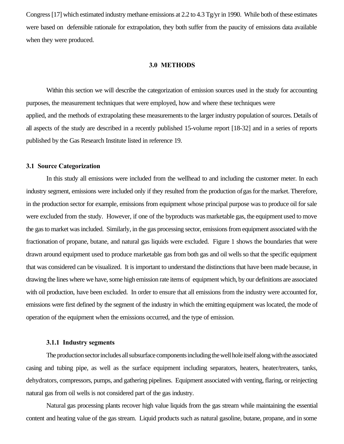Congress [17] which estimated industry methane emissions at 2.2 to 4.3 Tg/yr in 1990. While both of these estimates were based on defensible rationale for extrapolation, they both suffer from the paucity of emissions data available when they were produced.

## **3.0 METHODS**

Within this section we will describe the categorization of emission sources used in the study for accounting purposes, the measurement techniques that were employed, how and where these techniques were applied, and the methods of extrapolating these measurements to the larger industry population of sources. Details of all aspects of the study are described in a recently published 15-volume report [18-32] and in a series of reports published by the Gas Research Institute listed in reference 19.

## **3.1 Source Categorization**

In this study all emissions were included from the wellhead to and including the customer meter. In each industry segment, emissions were included only if they resulted from the production of gas for the market. Therefore, in the production sector for example, emissions from equipment whose principal purpose was to produce oil for sale were excluded from the study. However, if one of the byproducts was marketable gas, the equipment used to move the gas to market was included. Similarly, in the gas processing sector, emissions from equipment associated with the fractionation of propane, butane, and natural gas liquids were excluded. Figure 1 shows the boundaries that were drawn around equipment used to produce marketable gas from both gas and oil wells so that the specific equipment that was considered can be visualized. It is important to understand the distinctions that have been made because, in drawing the lines where we have, some high emission rate items of equipment which, by our definitions are associated with oil production, have been excluded. In order to ensure that all emissions from the industry were accounted for, emissions were first defined by the segment of the industry in which the emitting equipment was located, the mode of operation of the equipment when the emissions occurred, and the type of emission.

## **3.1.1 Industry segments**

The production sector includes all subsurface components including the well hole itself along with the associated casing and tubing pipe, as well as the surface equipment including separators, heaters, heater/treaters, tanks, dehydrators, compressors, pumps, and gathering pipelines. Equipment associated with venting, flaring, or reinjecting natural gas from oil wells is not considered part of the gas industry.

Natural gas processing plants recover high value liquids from the gas stream while maintaining the essential content and heating value of the gas stream. Liquid products such as natural gasoline, butane, propane, and in some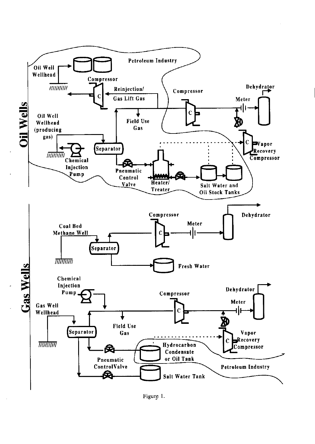

Figure 1.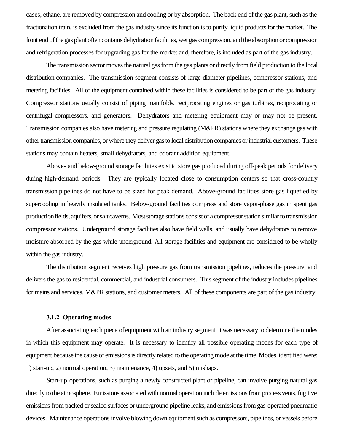cases, ethane, are removed by compression and cooling or by absorption. The back end of the gas plant, such as the fractionation train, is excluded from the gas industry since its function is to purify liquid products for the market. The front end of the gas plant often contains dehydration facilities, wet gas compression, and the absorption or compression and refrigeration processes for upgrading gas for the market and, therefore, is included as part of the gas industry.

The transmission sector moves the natural gas from the gas plants or directly from field production to the local distribution companies. The transmission segment consists of large diameter pipelines, compressor stations, and metering facilities. All of the equipment contained within these facilities is considered to be part of the gas industry. Compressor stations usually consist of piping manifolds, reciprocating engines or gas turbines, reciprocating or centrifugal compressors, and generators. Dehydrators and metering equipment may or may not be present. Transmission companies also have metering and pressure regulating (M&PR) stations where they exchange gas with other transmission companies, or where they deliver gas to local distribution companies or industrial customers. These stations may contain heaters, small dehydrators, and odorant addition equipment.

Above- and below-ground storage facilities exist to store gas produced during off-peak periods for delivery during high-demand periods. They are typically located close to consumption centers so that cross-country transmission pipelines do not have to be sized for peak demand. Above-ground facilities store gas liquefied by supercooling in heavily insulated tanks. Below-ground facilities compress and store vapor-phase gas in spent gas production fields, aquifers, or salt caverns. Most storage stations consist of a compressor station similar to transmission compressor stations. Underground storage facilities also have field wells, and usually have dehydrators to remove moisture absorbed by the gas while underground. All storage facilities and equipment are considered to be wholly within the gas industry.

The distribution segment receives high pressure gas from transmission pipelines, reduces the pressure, and delivers the gas to residential, commercial, and industrial consumers. This segment of the industry includes pipelines for mains and services, M&PR stations, and customer meters. All of these components are part of the gas industry.

#### **3.1.2 Operating modes**

After associating each piece of equipment with an industry segment, it was necessary to determine the modes in which this equipment may operate. It is necessary to identify all possible operating modes for each type of equipment because the cause of emissions is directly related to the operating mode at the time. Modes identified were: 1) start-up, 2) normal operation, 3) maintenance, 4) upsets, and 5) mishaps.

Start-up operations, such as purging a newly constructed plant or pipeline, can involve purging natural gas directly to the atmosphere. Emissions associated with normal operation include emissions from process vents, fugitive emissions from packed or sealed surfaces or underground pipeline leaks, and emissions from gas-operated pneumatic devices. Maintenance operations involve blowing down equipment such as compressors, pipelines, or vessels before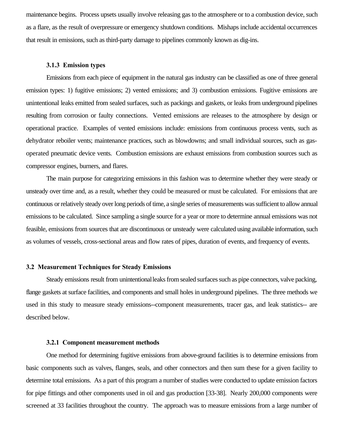maintenance begins. Process upsets usually involve releasing gas to the atmosphere or to a combustion device, such as a flare, as the result of overpressure or emergency shutdown conditions. Mishaps include accidental occurrences that result in emissions, such as third-party damage to pipelines commonly known as dig-ins.

### **3.1.3 Emission types**

Emissions from each piece of equipment in the natural gas industry can be classified as one of three general emission types: 1) fugitive emissions; 2) vented emissions; and 3) combustion emissions. Fugitive emissions are unintentional leaks emitted from sealed surfaces, such as packings and gaskets, or leaks from underground pipelines resulting from corrosion or faulty connections. Vented emissions are releases to the atmosphere by design or operational practice. Examples of vented emissions include: emissions from continuous process vents, such as dehydrator reboiler vents; maintenance practices, such as blowdowns; and small individual sources, such as gasoperated pneumatic device vents. Combustion emissions are exhaust emissions from combustion sources such as compressor engines, burners, and flares.

The main purpose for categorizing emissions in this fashion was to determine whether they were steady or unsteady over time and, as a result, whether they could be measured or must be calculated. For emissions that are continuous or relatively steady over long periods of time, a single series of measurements was sufficient to allow annual emissions to be calculated. Since sampling a single source for a year or more to determine annual emissions was not feasible, emissions from sources that are discontinuous or unsteady were calculated using available information, such as volumes of vessels, cross-sectional areas and flow rates of pipes, duration of events, and frequency of events.

## **3.2 Measurement Techniques for Steady Emissions**

Steady emissions result from unintentional leaks from sealed surfaces such as pipe connectors, valve packing, flange gaskets at surface facilities, and components and small holes in underground pipelines. The three methods we used in this study to measure steady emissions--component measurements, tracer gas, and leak statistics-- are described below.

## **3.2.1 Component measurement methods**

One method for determining fugitive emissions from above-ground facilities is to determine emissions from basic components such as valves, flanges, seals, and other connectors and then sum these for a given facility to determine total emissions. As a part of this program a number of studies were conducted to update emission factors for pipe fittings and other components used in oil and gas production [33-38]. Nearly 200,000 components were screened at 33 facilities throughout the country. The approach was to measure emissions from a large number of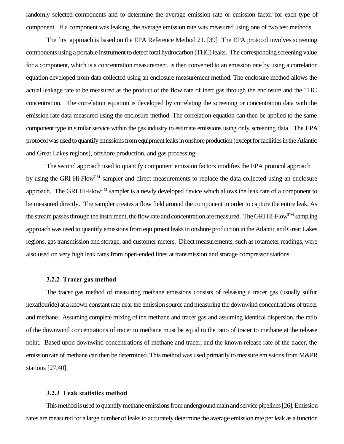randomly selected components and to determine the average emission rate or emission factor for each type of component. If a component was leaking, the average emission rate was measured using one of two test methods.

The first approach is based on the EPA Reference Method 21. [39] The EPA protocol involves screening components using a portable instrument to detect total hydrocarbon (THC) leaks. The corresponding screening value for a component, which is a concentration measurement, is then converted to an emission rate by using a correlation equation developed from data collected using an enclosure measurement method. The enclosure method allows the actual leakage rate to be measured as the product of the flow rate of inert gas through the enclosure and the THC concentration. The correlation equation is developed by correlating the screening or concentration data with the emission rate data measured using the enclosure method. The correlation equation can then be applied to the same component type in similar service within the gas industry to estimate emissions using only screening data. The EPA protocol was used to quantify emissions from equipment leaks in onshore production (except for facilities in the Atlantic and Great Lakes regions), offshore production, and gas processing.

The second approach used to quantify component emission factors modifies the EPA protocol approach by using the GRI Hi-Flow<sup>TM</sup> sampler and direct measurements to replace the data collected using an enclosure approach. The GRI Hi-Flow<sup>TM</sup> sampler is a newly developed device which allows the leak rate of a component to be measured directly. The sampler creates a flow field around the component in order to capture the entire leak. As the stream passes through the instrument, the flow rate and concentration are measured. The GRI Hi-Flow<sup>TM</sup> sampling approach was used to quantify emissions from equipment leaks in onshore production in the Atlantic and Great Lakes regions, gas transmission and storage, and customer meters. Direct measurements, such as rotameter readings, were also used on very high leak rates from open-ended lines at transmission and storage compressor stations.

#### **3.2.2 Tracer gas method**

The tracer gas method of measuring methane emissions consists of releasing a tracer gas (usually sulfur hexaflouride) at a known constant rate near the emission source and measuring the downwind concentrations of tracer and methane. Assuming complete mixing of the methane and tracer gas and assuming identical dispersion, the ratio of the downwind concentrations of tracer to methane must be equal to the ratio of tracer to methane at the release point. Based upon downwind concentrations of methane and tracer, and the known release rate of the tracer, the emission rate of methane can then be determined. This method was used primarily to measure emissions from M&PR stations [27,40].

## **3.2.3 Leak statistics method**

This method is used to quantify methane emissions from underground main and service pipelines [26]. Emission rates are measured for a large number of leaks to accurately determine the average emission rate per leak as a function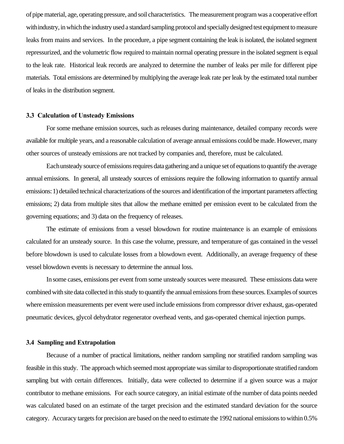of pipe material, age, operating pressure, and soil characteristics. The measurement program was a cooperative effort with industry, in which the industry used a standard sampling protocol and specially designed test equipment to measure leaks from mains and services. In the procedure, a pipe segment containing the leak is isolated, the isolated segment repressurized, and the volumetric flow required to maintain normal operating pressure in the isolated segment is equal to the leak rate. Historical leak records are analyzed to determine the number of leaks per mile for different pipe materials. Total emissions are determined by multiplying the average leak rate per leak by the estimated total number of leaks in the distribution segment.

### **3.3 Calculation of Unsteady Emissions**

For some methane emission sources, such as releases during maintenance, detailed company records were available for multiple years, and a reasonable calculation of average annual emissions could be made. However, many other sources of unsteady emissions are not tracked by companies and, therefore, must be calculated.

Each unsteady source of emissions requires data gathering and a unique set of equations to quantify the average annual emissions. In general, all unsteady sources of emissions require the following information to quantify annual emissions: 1) detailed technical characterizations of the sources and identification of the important parameters affecting emissions; 2) data from multiple sites that allow the methane emitted per emission event to be calculated from the governing equations; and 3) data on the frequency of releases.

The estimate of emissions from a vessel blowdown for routine maintenance is an example of emissions calculated for an unsteady source. In this case the volume, pressure, and temperature of gas contained in the vessel before blowdown is used to calculate losses from a blowdown event. Additionally, an average frequency of these vessel blowdown events is necessary to determine the annual loss.

In some cases, emissions per event from some unsteady sources were measured. These emissions data were combined with site data collected in this study to quantify the annual emissions from these sources. Examples of sources where emission measurements per event were used include emissions from compressor driver exhaust, gas-operated pneumatic devices, glycol dehydrator regenerator overhead vents, and gas-operated chemical injection pumps.

## **3.4 Sampling and Extrapolation**

Because of a number of practical limitations, neither random sampling nor stratified random sampling was feasible in this study. The approach which seemed most appropriate was similar to disproportionate stratified random sampling but with certain differences. Initially, data were collected to determine if a given source was a major contributor to methane emissions. For each source category, an initial estimate of the number of data points needed was calculated based on an estimate of the target precision and the estimated standard deviation for the source category. Accuracy targets for precision are based on the need to estimate the 1992 national emissions to within 0.5%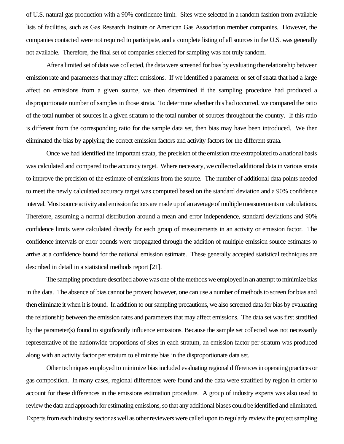of U.S. natural gas production with a 90% confidence limit. Sites were selected in a random fashion from available lists of facilities, such as Gas Research Institute or American Gas Association member companies. However, the companies contacted were not required to participate, and a complete listing of all sources in the U.S. was generally not available. Therefore, the final set of companies selected for sampling was not truly random.

After a limited set of data was collected, the data were screened for bias by evaluating the relationship between emission rate and parameters that may affect emissions. If we identified a parameter or set of strata that had a large affect on emissions from a given source, we then determined if the sampling procedure had produced a disproportionate number of samples in those strata. To determine whether this had occurred, we compared the ratio of the total number of sources in a given stratum to the total number of sources throughout the country. If this ratio is different from the corresponding ratio for the sample data set, then bias may have been introduced. We then eliminated the bias by applying the correct emission factors and activity factors for the different strata.

Once we had identified the important strata, the precision of the emission rate extrapolated to a national basis was calculated and compared to the accuracy target. Where necessary, we collected additional data in various strata to improve the precision of the estimate of emissions from the source. The number of additional data points needed to meet the newly calculated accuracy target was computed based on the standard deviation and a 90% confidence interval. Most source activity and emission factors are made up of an average of multiple measurements or calculations. Therefore, assuming a normal distribution around a mean and error independence, standard deviations and 90% confidence limits were calculated directly for each group of measurements in an activity or emission factor. The confidence intervals or error bounds were propagated through the addition of multiple emission source estimates to arrive at a confidence bound for the national emission estimate. These generally accepted statistical techniques are described in detail in a statistical methods report [21].

The sampling procedure described above was one of the methods we employed in an attempt to minimize bias in the data. The absence of bias cannot be proven; however, one can use a number of methods to screen for bias and then eliminate it when it is found. In addition to our sampling precautions, we also screened data for bias by evaluating the relationship between the emission rates and parameters that may affect emissions. The data set was first stratified by the parameter(s) found to significantly influence emissions. Because the sample set collected was not necessarily representative of the nationwide proportions of sites in each stratum, an emission factor per stratum was produced along with an activity factor per stratum to eliminate bias in the disproportionate data set.

Other techniques employed to minimize bias included evaluating regional differences in operating practices or gas composition. In many cases, regional differences were found and the data were stratified by region in order to account for these differences in the emissions estimation procedure. A group of industry experts was also used to review the data and approach for estimating emissions, so that any additional biases could be identified and eliminated. Experts from each industry sector as well as other reviewers were called upon to regularly review the project sampling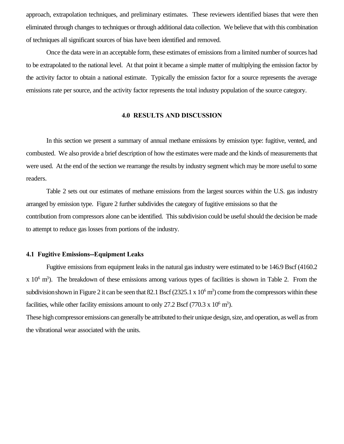approach, extrapolation techniques, and preliminary estimates. These reviewers identified biases that were then eliminated through changes to techniques or through additional data collection. We believe that with this combination of techniques all significant sources of bias have been identified and removed.

Once the data were in an acceptable form, these estimates of emissions from a limited number of sources had to be extrapolated to the national level. At that point it became a simple matter of multiplying the emission factor by the activity factor to obtain a national estimate. Typically the emission factor for a source represents the average emissions rate per source, and the activity factor represents the total industry population of the source category.

## **4.0 RESULTS AND DISCUSSION**

In this section we present a summary of annual methane emissions by emission type: fugitive, vented, and combusted. We also provide a brief description of how the estimates were made and the kinds of measurements that were used. At the end of the section we rearrange the results by industry segment which may be more useful to some readers.

Table 2 sets out our estimates of methane emissions from the largest sources within the U.S. gas industry arranged by emission type. Figure 2 further subdivides the category of fugitive emissions so that the contribution from compressors alone can be identified. This subdivision could be useful should the decision be made to attempt to reduce gas losses from portions of the industry.

## **4.1 Fugitive Emissions--Equipment Leaks**

Fugitive emissions from equipment leaks in the natural gas industry were estimated to be 146.9 Bscf (4160.2  $x$  10<sup>6</sup> m<sup>3</sup>). The breakdown of these emissions among various types of facilities is shown in Table 2. From the subdivision shown in Figure 2 it can be seen that 82.1 Bscf (2325.1 x  $10^6$  m<sup>3</sup>) come from the compressors within these facilities, while other facility emissions amount to only 27.2 Bscf (770.3 x  $10^6$  m<sup>3</sup>).

These high compressor emissions can generally be attributed to their unique design, size, and operation, as well as from the vibrational wear associated with the units.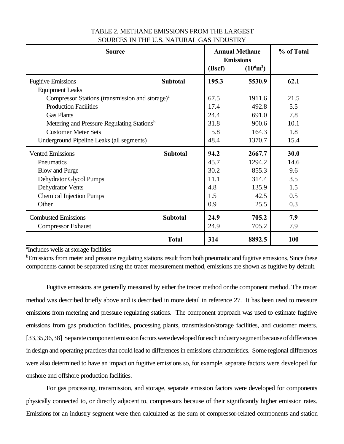| <b>Source</b>                                               |                 | (Bscf) | <b>Annual Methane</b><br><b>Emissions</b><br>$(10^6 \text{m}^3)$ | % of Total |
|-------------------------------------------------------------|-----------------|--------|------------------------------------------------------------------|------------|
| <b>Fugitive Emissions</b>                                   | <b>Subtotal</b> | 195.3  | 5530.9                                                           | 62.1       |
| <b>Equipment Leaks</b>                                      |                 |        |                                                                  |            |
| Compressor Stations (transmission and storage) <sup>a</sup> |                 | 67.5   | 1911.6                                                           | 21.5       |
| <b>Production Facilities</b>                                |                 | 17.4   | 492.8                                                            | 5.5        |
| <b>Gas Plants</b>                                           |                 | 24.4   | 691.0                                                            | 7.8        |
| Metering and Pressure Regulating Stations <sup>b</sup>      |                 | 31.8   | 900.6                                                            | 10.1       |
| <b>Customer Meter Sets</b>                                  |                 | 5.8    | 164.3                                                            | 1.8        |
| Underground Pipeline Leaks (all segments)                   |                 | 48.4   | 1370.7                                                           | 15.4       |
| <b>Vented Emissions</b>                                     | <b>Subtotal</b> | 94.2   | 2667.7                                                           | 30.0       |
| Pneumatics                                                  |                 | 45.7   | 1294.2                                                           | 14.6       |
| <b>Blow and Purge</b>                                       |                 | 30.2   | 855.3                                                            | 9.6        |
| Dehydrator Glycol Pumps                                     |                 | 11.1   | 314.4                                                            | 3.5        |
| Dehydrator Vents                                            |                 | 4.8    | 135.9                                                            | 1.5        |
| <b>Chemical Injection Pumps</b>                             |                 | 1.5    | 42.5                                                             | 0.5        |
| Other                                                       |                 | 0.9    | 25.5                                                             | 0.3        |
| <b>Combusted Emissions</b>                                  | <b>Subtotal</b> | 24.9   | 705.2                                                            | 7.9        |
| <b>Compressor Exhaust</b>                                   |                 | 24.9   | 705.2                                                            | 7.9        |
|                                                             | <b>Total</b>    | 314    | 8892.5                                                           | <b>100</b> |

## TABLE 2. METHANE EMISSIONS FROM THE LARGEST SOURCES IN THE U.S. NATURAL GAS INDUSTRY

a Includes wells at storage facilities

bEmissions from meter and pressure regulating stations result from both pneumatic and fugitive emissions. Since these components cannot be separated using the tracer measurement method, emissions are shown as fugitive by default.

Fugitive emissions are generally measured by either the tracer method or the component method. The tracer method was described briefly above and is described in more detail in reference 27. It has been used to measure emissions from metering and pressure regulating stations. The component approach was used to estimate fugitive emissions from gas production facilities, processing plants, transmission/storage facilities, and customer meters. [33,35,36,38] Separate component emission factors were developed for each industry segment because of differences in design and operating practices that could lead to differences in emissions characteristics. Some regional differences were also determined to have an impact on fugitive emissions so, for example, separate factors were developed for onshore and offshore production facilities.

For gas processing, transmission, and storage, separate emission factors were developed for components physically connected to, or directly adjacent to, compressors because of their significantly higher emission rates. Emissions for an industry segment were then calculated as the sum of compressor-related components and station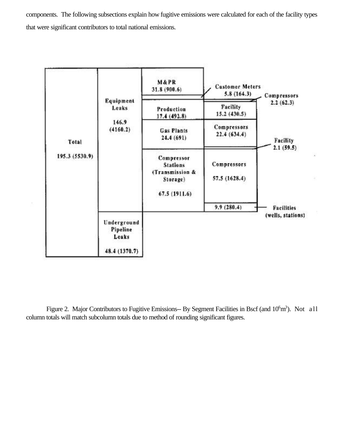components. The following subsections explain how fugitive emissions were calculated for each of the facility types that were significant contributors to total national emissions.



Figure 2. Major Contributors to Fugitive Emissions-- By Segment Facilities in Bscf (and 10<sup>6</sup>m<sup>3</sup>). Not all column totals will match subcolumn totals due to method of rounding significant figures.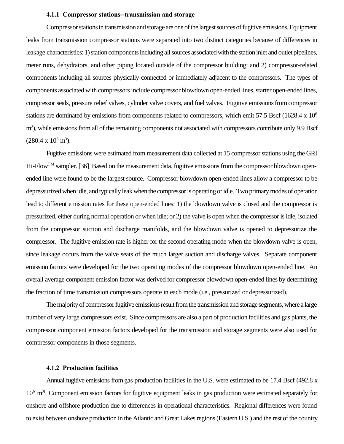### **4.1.1 Compressor stations--transmission and storage**

Compressor stations in transmission and storage are one of the largest sources of fugitive emissions. Equipment leaks from transmission compressor stations were separated into two distinct categories because of differences in leakage characteristics: 1) station components including all sources associated with the station inlet and outlet pipelines, meter runs, dehydrators, and other piping located outside of the compressor building; and 2) compressor-related components including all sources physically connected or immediately adjacent to the compressors. The types of components associated with compressors include compressor blowdown open-ended lines, starter open-ended lines, compressor seals, pressure relief valves, cylinder valve covers, and fuel valves. Fugitive emissions from compressor stations are dominated by emissions from components related to compressors, which emit 57.5 Bscf (1628.4 x  $10<sup>6</sup>$ ) m<sup>3</sup>), while emissions from all of the remaining components not associated with compressors contribute only 9.9 Bscf  $(280.4 \times 10^6 \text{ m}^3).$ 

Fugitive emissions were estimated from measurement data collected at 15 compressor stations using the GRI Hi-Flow<sup>TM</sup> sampler. [36] Based on the measurement data, fugitive emissions from the compressor blowdown openended line were found to be the largest source. Compressor blowdown open-ended lines allow a compressor to be depressurized when idle, and typically leak when the compressor is operating or idle. Two primary modes of operation lead to different emission rates for these open-ended lines: 1) the blowdown valve is closed and the compressor is pressurized, either during normal operation or when idle; or 2) the valve is open when the compressor is idle, isolated from the compressor suction and discharge manifolds, and the blowdown valve is opened to depressurize the compressor. The fugitive emission rate is higher for the second operating mode when the blowdown valve is open, since leakage occurs from the valve seats of the much larger suction and discharge valves. Separate component emission factors were developed for the two operating modes of the compressor blowdown open-ended line. An overall average component emission factor was derived for compressor blowdown open-ended lines by determining the fraction of time transmission compressors operate in each mode (i.e., pressurized or depressurized).

The majority of compressor fugitive emissions result from the transmission and storage segments, where a large number of very large compressors exist. Since compressors are also a part of production facilities and gas plants, the compressor component emission factors developed for the transmission and storage segments were also used for compressor components in those segments.

## **4.1.2 Production facilities**

Annual fugitive emissions from gas production facilities in the U.S. were estimated to be 17.4 Bscf (492.8 x 10<sup>6</sup> m<sup>3)</sup>. Component emission factors for fugitive equipment leaks in gas production were estimated separately for onshore and offshore production due to differences in operational characteristics. Regional differences were found to exist between onshore production in the Atlantic and Great Lakes regions (Eastern U.S.) and the rest of the country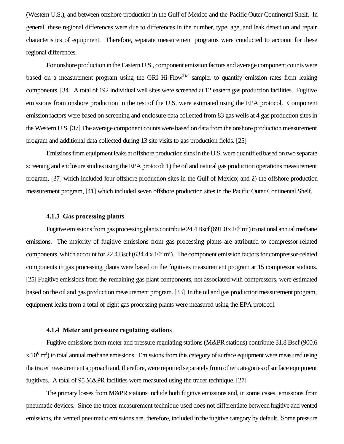(Western U.S.), and between offshore production in the Gulf of Mexico and the Pacific Outer Continental Shelf. In general, these regional differences were due to differences in the number, type, age, and leak detection and repair characteristics of equipment. Therefore, separate measurement programs were conducted to account for these regional differences.

For onshore production in the Eastern U.S., component emission factors and average component counts were based on a measurement program using the GRI Hi-Flow<sup>TM</sup> sampler to quantify emission rates from leaking components. [34] A total of 192 individual well sites were screened at 12 eastern gas production facilities. Fugitive emissions from onshore production in the rest of the U.S. were estimated using the EPA protocol. Component emission factors were based on screening and enclosure data collected from 83 gas wells at 4 gas production sites in the Western U.S. [37] The average component counts were based on data from the onshore production measurement program and additional data collected during 13 site visits to gas production fields. [25]

Emissions from equipment leaks at offshore production sites in the U.S. were quantified based on two separate screening and enclosure studies using the EPA protocol: 1) the oil and natural gas production operations measurement program, [37] which included four offshore production sites in the Gulf of Mexico; and 2) the offshore production measurement program, [41] which included seven offshore production sites in the Pacific Outer Continental Shelf.

#### **4.1.3 Gas processing plants**

Fugitive emissions from gas processing plants contribute 24.4 Bscf (691.0 x  $10^6$  m<sup>3</sup>) to national annual methane emissions. The majority of fugitive emissions from gas processing plants are attributed to compressor-related components, which account for 22.4 Bscf ( $634.4 \times 10^6$  m<sup>3</sup>). The component emission factors for compressor-related components in gas processing plants were based on the fugitives measurement program at 15 compressor stations. [25] Fugitive emissions from the remaining gas plant components, not associated with compressors, were estimated based on the oil and gas production measurement program. [33] In the oil and gas production measurement program, equipment leaks from a total of eight gas processing plants were measured using the EPA protocol.

## **4.1.4 Meter and pressure regulating stations**

Fugitive emissions from meter and pressure regulating stations (M&PR stations) contribute 31.8 Bscf (900.6  $x 10<sup>6</sup>$  m<sup>3</sup>) to total annual methane emissions. Emissions from this category of surface equipment were measured using the tracer measurement approach and, therefore, were reported separately from other categories of surface equipment fugitives. A total of 95 M&PR facilities were measured using the tracer technique. [27]

The primary losses from M&PR stations include both fugitive emissions and, in some cases, emissions from pneumatic devices. Since the tracer measurement technique used does not differentiate between fugitive and vented emissions, the vented pneumatic emissions are, therefore, included in the fugitive category by default. Some pressure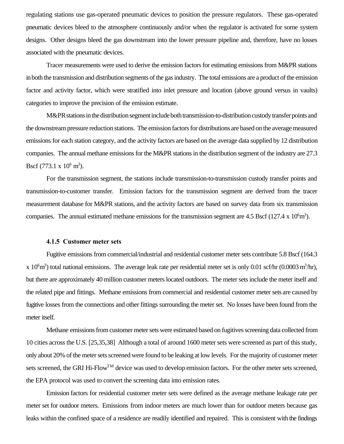regulating stations use gas-operated pneumatic devices to position the pressure regulators. These gas-operated pneumatic devices bleed to the atmosphere continuously and/or when the regulator is activated for some system designs. Other designs bleed the gas downstream into the lower pressure pipeline and, therefore, have no losses associated with the pneumatic devices.

Tracer measurements were used to derive the emission factors for estimating emissions from M&PR stations in both the transmission and distribution segments of the gas industry. The total emissions are a product of the emission factor and activity factor, which were stratified into inlet pressure and location (above ground versus in vaults) categories to improve the precision of the emission estimate.

M&PR stations in the distribution segment include both transmission-to-distribution custody transfer points and the downstream pressure reduction stations. The emission factors for distributions are based on the average measured emissions for each station category, and the activity factors are based on the average data supplied by 12 distribution companies. The annual methane emissions for the M&PR stations in the distribution segment of the industry are 27.3 Bscf (773.1 x  $10^6$  m<sup>3</sup>).

For the transmission segment, the stations include transmission-to-transmission custody transfer points and transmission-to-customer transfer. Emission factors for the transmission segment are derived from the tracer measurement database for M&PR stations, and the activity factors are based on survey data from six transmission companies. The annual estimated methane emissions for the transmission segment are 4.5 Bscf (127.4 x  $10<sup>6</sup>$ m<sup>3</sup>).

## **4.1.5 Customer meter sets**

Fugitive emissions from commercial/industrial and residential customer meter sets contribute 5.8 Bscf (164.3 x 10<sup>6</sup>m<sup>3</sup>) total national emissions. The average leak rate per residential meter set is only 0.01 scf/hr (0.0003 m<sup>3</sup>/hr), but there are approximately 40 million customer meters located outdoors. The meter sets include the meter itself and the related pipe and fittings. Methane emissions from commercial and residential customer meter sets are caused by fugitive losses from the connections and other fittings surrounding the meter set. No losses have been found from the meter itself.

Methane emissions from customer meter sets were estimated based on fugitives screening data collected from 10 cities across the U.S. [25,35,38] Although a total of around 1600 meter sets were screened as part of this study, only about 20% of the meter sets screened were found to be leaking at low levels. For the majority of customer meter sets screened, the GRI Hi-Flow<sup>TM</sup> device was used to develop emission factors. For the other meter sets screened, the EPA protocol was used to convert the screening data into emission rates.

Emission factors for residential customer meter sets were defined as the average methane leakage rate per meter set for outdoor meters. Emissions from indoor meters are much lower than for outdoor meters because gas leaks within the confined space of a residence are readily identified and repaired. This is consistent with the findings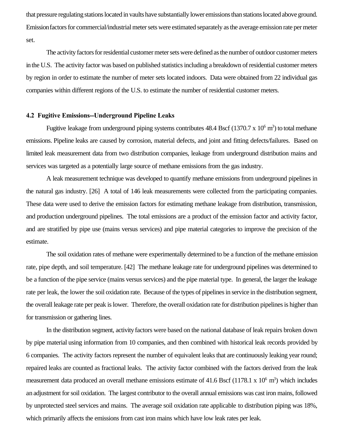that pressure regulating stations located in vaults have substantially lower emissions than stations located above ground. Emission factors for commercial/industrial meter sets were estimated separately as the average emission rate per meter set.

The activity factors for residential customer meter sets were defined as the number of outdoor customer meters in the U.S. The activity factor was based on published statistics including a breakdown of residential customer meters by region in order to estimate the number of meter sets located indoors. Data were obtained from 22 individual gas companies within different regions of the U.S. to estimate the number of residential customer meters.

## **4.2 Fugitive Emissions--Underground Pipeline Leaks**

Fugitive leakage from underground piping systems contributes  $48.4$  Bscf (1370.7 x  $10^6$  m<sup>3</sup>) to total methane emissions. Pipeline leaks are caused by corrosion, material defects, and joint and fitting defects/failures. Based on limited leak measurement data from two distribution companies, leakage from underground distribution mains and services was targeted as a potentially large source of methane emissions from the gas industry.

A leak measurement technique was developed to quantify methane emissions from underground pipelines in the natural gas industry. [26] A total of 146 leak measurements were collected from the participating companies. These data were used to derive the emission factors for estimating methane leakage from distribution, transmission, and production underground pipelines. The total emissions are a product of the emission factor and activity factor, and are stratified by pipe use (mains versus services) and pipe material categories to improve the precision of the estimate.

The soil oxidation rates of methane were experimentally determined to be a function of the methane emission rate, pipe depth, and soil temperature. [42] The methane leakage rate for underground pipelines was determined to be a function of the pipe service (mains versus services) and the pipe material type. In general, the larger the leakage rate per leak, the lower the soil oxidation rate. Because of the types of pipelines in service in the distribution segment, the overall leakage rate per peak is lower. Therefore, the overall oxidation rate for distribution pipelines is higher than for transmission or gathering lines.

In the distribution segment, activity factors were based on the national database of leak repairs broken down by pipe material using information from 10 companies, and then combined with historical leak records provided by 6 companies. The activity factors represent the number of equivalent leaks that are continuously leaking year round; repaired leaks are counted as fractional leaks. The activity factor combined with the factors derived from the leak measurement data produced an overall methane emissions estimate of 41.6 Bscf (1178.1 x  $10^6$  m<sup>3</sup>) which includes an adjustment for soil oxidation. The largest contributor to the overall annual emissions was cast iron mains, followed by unprotected steel services and mains. The average soil oxidation rate applicable to distribution piping was 18%, which primarily affects the emissions from cast iron mains which have low leak rates per leak.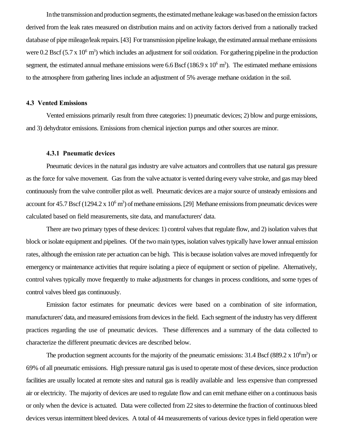In the transmission and production segments, the estimated methane leakage was based on the emission factors derived from the leak rates measured on distribution mains and on activity factors derived from a nationally tracked database of pipe mileage/leak repairs. [43] For transmission pipeline leakage, the estimated annual methane emissions were  $0.2$  Bscf (5.7 x 10<sup>6</sup> m<sup>3</sup>) which includes an adjustment for soil oxidation. For gathering pipeline in the production segment, the estimated annual methane emissions were 6.6 Bscf (186.9 x  $10^6$  m<sup>3</sup>). The estimated methane emissions to the atmosphere from gathering lines include an adjustment of 5% average methane oxidation in the soil.

## **4.3 Vented Emissions**

Vented emissions primarily result from three categories: 1) pneumatic devices; 2) blow and purge emissions, and 3) dehydrator emissions. Emissions from chemical injection pumps and other sources are minor.

### **4.3.1 Pneumatic devices**

Pneumatic devices in the natural gas industry are valve actuators and controllers that use natural gas pressure as the force for valve movement. Gas from the valve actuator is vented during every valve stroke, and gas may bleed continuously from the valve controller pilot as well. Pneumatic devices are a major source of unsteady emissions and account for  $45.7$  Bscf ( $1294.2 \times 10^6$  m<sup>3</sup>) of methane emissions. [29] Methane emissions from pneumatic devices were calculated based on field measurements, site data, and manufacturers' data.

There are two primary types of these devices: 1) control valves that regulate flow, and 2) isolation valves that block or isolate equipment and pipelines. Of the two main types, isolation valves typically have lower annual emission rates, although the emission rate per actuation can be high. This is because isolation valves are moved infrequently for emergency or maintenance activities that require isolating a piece of equipment or section of pipeline. Alternatively, control valves typically move frequently to make adjustments for changes in process conditions, and some types of control valves bleed gas continuously.

Emission factor estimates for pneumatic devices were based on a combination of site information, manufacturers' data, and measured emissions from devices in the field. Each segment of the industry has very different practices regarding the use of pneumatic devices. These differences and a summary of the data collected to characterize the different pneumatic devices are described below.

The production segment accounts for the majority of the pneumatic emissions:  $31.4$  Bscf (889.2 x  $10<sup>6</sup>$ m<sup>3</sup>) or 69% of all pneumatic emissions. High pressure natural gas is used to operate most of these devices, since production facilities are usually located at remote sites and natural gas is readily available and less expensive than compressed air or electricity. The majority of devices are used to regulate flow and can emit methane either on a continuous basis or only when the device is actuated. Data were collected from 22 sites to determine the fraction of continuous bleed devices versus intermittent bleed devices. A total of 44 measurements of various device types in field operation were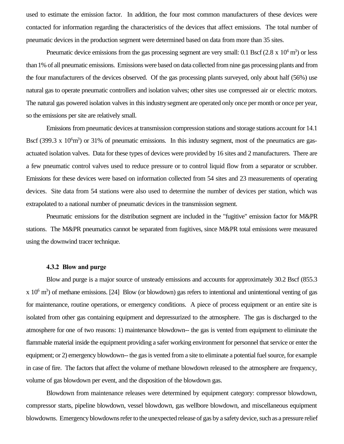used to estimate the emission factor. In addition, the four most common manufacturers of these devices were contacted for information regarding the characteristics of the devices that affect emissions. The total number of pneumatic devices in the production segment were determined based on data from more than 35 sites.

Pneumatic device emissions from the gas processing segment are very small:  $0.1$  Bscf ( $2.8 \times 10^6$  m<sup>3</sup>) or less than 1% of all pneumatic emissions. Emissions were based on data collected from nine gas processing plants and from the four manufacturers of the devices observed. Of the gas processing plants surveyed, only about half (56%) use natural gas to operate pneumatic controllers and isolation valves; other sites use compressed air or electric motors. The natural gas powered isolation valves in this industry segment are operated only once per month or once per year, so the emissions per site are relatively small.

Emissions from pneumatic devices at transmission compression stations and storage stations account for 14.1 Bscf (399.3 x  $10<sup>6</sup>m<sup>3</sup>$ ) or 31% of pneumatic emissions. In this industry segment, most of the pneumatics are gasactuated isolation valves. Data for these types of devices were provided by 16 sites and 2 manufacturers. There are a few pneumatic control valves used to reduce pressure or to control liquid flow from a separator or scrubber. Emissions for these devices were based on information collected from 54 sites and 23 measurements of operating devices. Site data from 54 stations were also used to determine the number of devices per station, which was extrapolated to a national number of pneumatic devices in the transmission segment.

Pneumatic emissions for the distribution segment are included in the "fugitive" emission factor for M&PR stations. The M&PR pneumatics cannot be separated from fugitives, since M&PR total emissions were measured using the downwind tracer technique.

## **4.3.2 Blow and purge**

Blow and purge is a major source of unsteady emissions and accounts for approximately 30.2 Bscf (855.3  $x 10<sup>6</sup>$  m<sup>3</sup>) of methane emissions. [24] Blow (or blowdown) gas refers to intentional and unintentional venting of gas for maintenance, routine operations, or emergency conditions. A piece of process equipment or an entire site is isolated from other gas containing equipment and depressurized to the atmosphere. The gas is discharged to the atmosphere for one of two reasons: 1) maintenance blowdown-- the gas is vented from equipment to eliminate the flammable material inside the equipment providing a safer working environment for personnel that service or enter the equipment; or 2) emergency blowdown-- the gas is vented from a site to eliminate a potential fuel source, for example in case of fire. The factors that affect the volume of methane blowdown released to the atmosphere are frequency, volume of gas blowdown per event, and the disposition of the blowdown gas.

Blowdown from maintenance releases were determined by equipment category: compressor blowdown, compressor starts, pipeline blowdown, vessel blowdown, gas wellbore blowdown, and miscellaneous equipment blowdowns. Emergency blowdowns refer to the unexpected release of gas by a safety device, such as a pressure relief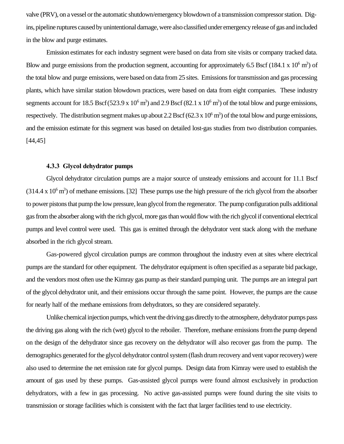valve (PRV), on a vessel or the automatic shutdown/emergency blowdown of a transmission compressor station. Digins, pipeline ruptures caused by unintentional damage, were also classified under emergency release of gas and included in the blow and purge estimates.

Emission estimates for each industry segment were based on data from site visits or company tracked data. Blow and purge emissions from the production segment, accounting for approximately 6.5 Bscf (184.1 x  $10^6$  m<sup>3</sup>) of the total blow and purge emissions, were based on data from 25 sites. Emissions for transmission and gas processing plants, which have similar station blowdown practices, were based on data from eight companies. These industry segments account for 18.5 Bscf (523.9 x  $10^6$  m<sup>3</sup>) and 2.9 Bscf (82.1 x  $10^6$  m<sup>3</sup>) of the total blow and purge emissions, respectively. The distribution segment makes up about 2.2 Bscf ( $62.3 \times 10^6 \text{ m}^3$ ) of the total blow and purge emissions, and the emission estimate for this segment was based on detailed lost-gas studies from two distribution companies. [44,45]

## **4.3.3 Glycol dehydrator pumps**

Glycol dehydrator circulation pumps are a major source of unsteady emissions and account for 11.1 Bscf  $(314.4 \times 10^6 \text{ m}^3)$  of methane emissions. [32] These pumps use the high pressure of the rich glycol from the absorber to power pistons that pump the low pressure, lean glycol from the regenerator. The pump configuration pulls additional gas from the absorber along with the rich glycol, more gas than would flow with the rich glycol if conventional electrical pumps and level control were used. This gas is emitted through the dehydrator vent stack along with the methane absorbed in the rich glycol stream.

Gas-powered glycol circulation pumps are common throughout the industry even at sites where electrical pumps are the standard for other equipment. The dehydrator equipment is often specified as a separate bid package, and the vendors most often use the Kimray gas pump as their standard pumping unit. The pumps are an integral part of the glycol dehydrator unit, and their emissions occur through the same point. However, the pumps are the cause for nearly half of the methane emissions from dehydrators, so they are considered separately.

Unlike chemical injection pumps, which vent the driving gas directly to the atmosphere, dehydrator pumps pass the driving gas along with the rich (wet) glycol to the reboiler. Therefore, methane emissions from the pump depend on the design of the dehydrator since gas recovery on the dehydrator will also recover gas from the pump. The demographics generated for the glycol dehydrator control system (flash drum recovery and vent vapor recovery) were also used to determine the net emission rate for glycol pumps. Design data from Kimray were used to establish the amount of gas used by these pumps. Gas-assisted glycol pumps were found almost exclusively in production dehydrators, with a few in gas processing. No active gas-assisted pumps were found during the site visits to transmission or storage facilities which is consistent with the fact that larger facilities tend to use electricity.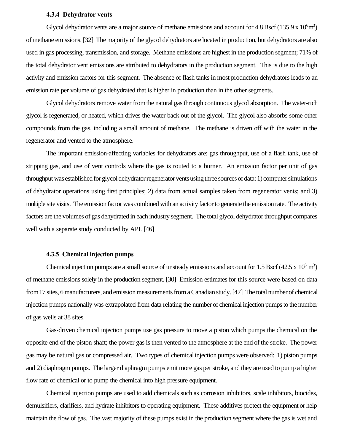#### **4.3.4 Dehydrator vents**

Glycol dehydrator vents are a major source of methane emissions and account for  $4.8$  Bscf (135.9 x  $10<sup>6</sup>m<sup>3</sup>$ ) of methane emissions. [32] The majority of the glycol dehydrators are located in production, but dehydrators are also used in gas processing, transmission, and storage. Methane emissions are highest in the production segment; 71% of the total dehydrator vent emissions are attributed to dehydrators in the production segment. This is due to the high activity and emission factors for this segment. The absence of flash tanks in most production dehydrators leads to an emission rate per volume of gas dehydrated that is higher in production than in the other segments.

Glycol dehydrators remove water from the natural gas through continuous glycol absorption. The water-rich glycol is regenerated, or heated, which drives the water back out of the glycol. The glycol also absorbs some other compounds from the gas, including a small amount of methane. The methane is driven off with the water in the regenerator and vented to the atmosphere.

The important emission-affecting variables for dehydrators are: gas throughput, use of a flash tank, use of stripping gas, and use of vent controls where the gas is routed to a burner. An emission factor per unit of gas throughput was established for glycol dehydrator regenerator vents using three sources of data: 1) computer simulations of dehydrator operations using first principles; 2) data from actual samples taken from regenerator vents; and 3) multiple site visits. The emission factor was combined with an activity factor to generate the emission rate. The activity factors are the volumes of gas dehydrated in each industry segment. The total glycol dehydrator throughput compares well with a separate study conducted by API. [46]

## **4.3.5 Chemical injection pumps**

Chemical injection pumps are a small source of unsteady emissions and account for 1.5 Bscf (42.5 x  $10^6$  m<sup>3</sup>) of methane emissions solely in the production segment. [30] Emission estimates for this source were based on data from 17 sites, 6 manufacturers, and emission measurements from a Canadian study. [47] The total number of chemical injection pumps nationally was extrapolated from data relating the number of chemical injection pumps to the number of gas wells at 38 sites.

Gas-driven chemical injection pumps use gas pressure to move a piston which pumps the chemical on the opposite end of the piston shaft; the power gas is then vented to the atmosphere at the end of the stroke. The power gas may be natural gas or compressed air. Two types of chemical injection pumps were observed: 1) piston pumps and 2) diaphragm pumps. The larger diaphragm pumps emit more gas per stroke, and they are used to pump a higher flow rate of chemical or to pump the chemical into high pressure equipment.

Chemical injection pumps are used to add chemicals such as corrosion inhibitors, scale inhibitors, biocides, demulsifiers, clarifiers, and hydrate inhibitors to operating equipment. These additives protect the equipment or help maintain the flow of gas. The vast majority of these pumps exist in the production segment where the gas is wet and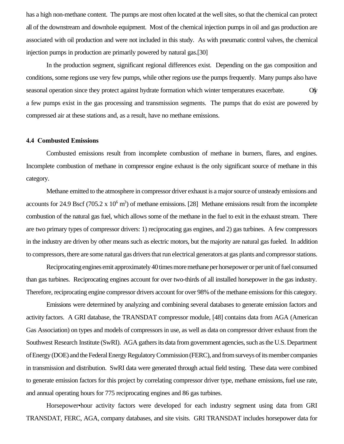has a high non-methane content. The pumps are most often located at the well sites, so that the chemical can protect all of the downstream and downhole equipment. Most of the chemical injection pumps in oil and gas production are associated with oil production and were not included in this study. As with pneumatic control valves, the chemical injection pumps in production are primarily powered by natural gas.[30]

In the production segment, significant regional differences exist. Depending on the gas composition and conditions, some regions use very few pumps, while other regions use the pumps frequently. Many pumps also have seasonal operation since they protect against hydrate formation which winter temperatures exacerbate. Only a few pumps exist in the gas processing and transmission segments. The pumps that do exist are powered by compressed air at these stations and, as a result, have no methane emissions.

#### **4.4 Combusted Emissions**

Combusted emissions result from incomplete combustion of methane in burners, flares, and engines. Incomplete combustion of methane in compressor engine exhaust is the only significant source of methane in this category.

Methane emitted to the atmosphere in compressor driver exhaust is a major source of unsteady emissions and accounts for 24.9 Bscf (705.2 x  $10^6$  m<sup>3</sup>) of methane emissions. [28] Methane emissions result from the incomplete combustion of the natural gas fuel, which allows some of the methane in the fuel to exit in the exhaust stream. There are two primary types of compressor drivers: 1) reciprocating gas engines, and 2) gas turbines. A few compressors in the industry are driven by other means such as electric motors, but the majority are natural gas fueled. In addition to compressors, there are some natural gas drivers that run electrical generators at gas plants and compressor stations.

Reciprocating engines emit approximately 40 times more methane per horsepower or per unit of fuel consumed than gas turbines. Reciprocating engines account for over two-thirds of all installed horsepower in the gas industry. Therefore, reciprocating engine compressor drivers account for over 98% of the methane emissions for this category.

Emissions were determined by analyzing and combining several databases to generate emission factors and activity factors. A GRI database, the TRANSDAT compressor module, [48] contains data from AGA (American Gas Association) on types and models of compressors in use, as well as data on compressor driver exhaust from the Southwest Research Institute (SwRI). AGA gathers its data from government agencies, such as the U.S. Department of Energy (DOE) and the Federal Energy Regulatory Commission (FERC), and from surveys of its member companies in transmission and distribution. SwRI data were generated through actual field testing. These data were combined to generate emission factors for this project by correlating compressor driver type, methane emissions, fuel use rate, and annual operating hours for 775 reciprocating engines and 86 gas turbines.

Horsepower•hour activity factors were developed for each industry segment using data from GRI TRANSDAT, FERC, AGA, company databases, and site visits. GRI TRANSDAT includes horsepower data for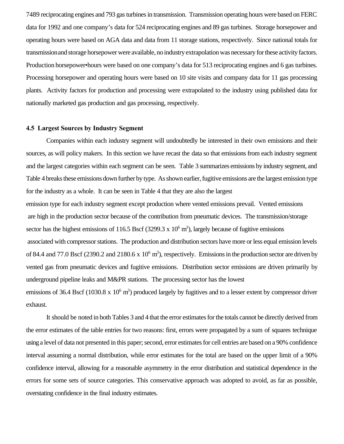7489 reciprocating engines and 793 gas turbines in transmission. Transmission operating hours were based on FERC data for 1992 and one company's data for 524 reciprocating engines and 89 gas turbines. Storage horsepower and operating hours were based on AGA data and data from 11 storage stations, respectively. Since national totals for transmission and storage horsepower were available, no industry extrapolation was necessary for these activity factors. Production horsepower•hours were based on one company's data for 513 reciprocating engines and 6 gas turbines. Processing horsepower and operating hours were based on 10 site visits and company data for 11 gas processing plants. Activity factors for production and processing were extrapolated to the industry using published data for nationally marketed gas production and gas processing, respectively.

## **4.5 Largest Sources by Industry Segment**

Companies within each industry segment will undoubtedly be interested in their own emissions and their sources, as will policy makers. In this section we have recast the data so that emissions from each industry segment and the largest categories within each segment can be seen. Table 3 summarizes emissions by industry segment, and Table 4 breaks these emissions down further by type. As shown earlier, fugitive emissions are the largest emission type for the industry as a whole. It can be seen in Table 4 that they are also the largest emission type for each industry segment except production where vented emissions prevail. Vented emissions are high in the production sector because of the contribution from pneumatic devices. The transmission/storage sector has the highest emissions of 116.5 Bscf (3299.3 x  $10^6$  m<sup>3</sup>), largely because of fugitive emissions associated with compressor stations. The production and distribution sectors have more or less equal emission levels of 84.4 and 77.0 Bscf (2390.2 and 2180.6 x  $10^6$  m<sup>3</sup>), respectively. Emissions in the production sector are driven by vented gas from pneumatic devices and fugitive emissions. Distribution sector emissions are driven primarily by underground pipeline leaks and M&PR stations. The processing sector has the lowest emissions of 36.4 Bscf (1030.8 x  $10^6$  m<sup>3</sup>) produced largely by fugitives and to a lesser extent by compressor driver exhaust.

It should be noted in both Tables 3 and 4 that the error estimates for the totals cannot be directly derived from the error estimates of the table entries for two reasons: first, errors were propagated by a sum of squares technique using a level of data not presented in this paper; second, error estimates for cell entries are based on a 90% confidence interval assuming a normal distribution, while error estimates for the total are based on the upper limit of a 90% confidence interval, allowing for a reasonable asymmetry in the error distribution and statistical dependence in the errors for some sets of source categories. This conservative approach was adopted to avoid, as far as possible, overstating confidence in the final industry estimates.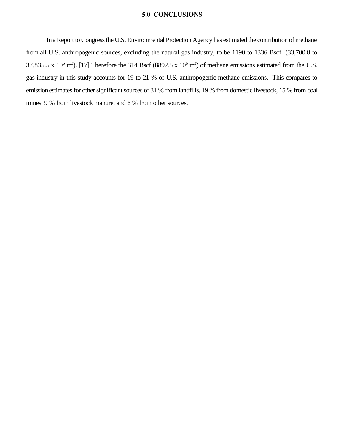## **5.0 CONCLUSIONS**

In a Report to Congress the U.S. Environmental Protection Agency has estimated the contribution of methane from all U.S. anthropogenic sources, excluding the natural gas industry, to be 1190 to 1336 Bscf (33,700.8 to 37,835.5 x 10<sup>6</sup> m<sup>3</sup>). [17] Therefore the 314 Bscf (8892.5 x 10<sup>6</sup> m<sup>3</sup>) of methane emissions estimated from the U.S. gas industry in this study accounts for 19 to 21 % of U.S. anthropogenic methane emissions. This compares to emission estimates for other significant sources of 31 % from landfills, 19 % from domestic livestock, 15 % from coal mines, 9 % from livestock manure, and 6 % from other sources.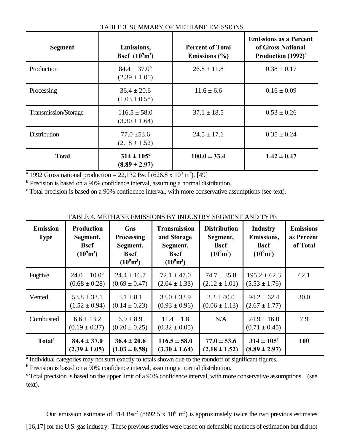| <b>Segment</b>       | <b>Emissions,</b><br><b>Bscf</b> $(10^9 \text{m}^3)$ | <b>Percent of Total</b><br>Emissions $(\% )$ | <b>Emissions as a Percent</b><br>of Gross National<br>Production (1992) <sup>a</sup> |
|----------------------|------------------------------------------------------|----------------------------------------------|--------------------------------------------------------------------------------------|
| Production           | $84.4 \pm 37.0^b$<br>$(2.39 \pm 1.05)$               | $26.8 \pm 11.8$                              | $0.38 \pm 0.17$                                                                      |
| Processing           | $36.4 \pm 20.6$<br>$(1.03 \pm 0.58)$                 | $11.6 \pm 6.6$                               | $0.16 \pm 0.09$                                                                      |
| Transmission/Storage | $116.5 \pm 58.0$<br>$(3.30 \pm 1.64)$                | $37.1 \pm 18.5$                              | $0.53 \pm 0.26$                                                                      |
| <b>Distribution</b>  | $77.0 \pm 53.6$<br>$(2.18 \pm 1.52)$                 | $24.5 \pm 17.1$                              | $0.35 \pm 0.24$                                                                      |
| <b>Total</b>         | $314 \pm 105$ <sup>c</sup><br>$(8.89 \pm 2.97)$      | $100.0 \pm 33.4$                             | $1.42 \pm 0.47$                                                                      |

<sup>a</sup> 1992 Gross national production = 22,132 Bscf (626.8 x 10<sup>9</sup> m<sup>3</sup>). [49]

<sup>b</sup> Precision is based on a 90% confidence interval, assuming a normal distribution.

<sup>c</sup> Total precision is based on a 90% confidence interval, with more conservative assumptions (see text).

| <b>Emission</b><br><b>Type</b> | <b>Production</b><br>Segment,<br><b>Bscf</b><br>$(10^9 \text{m}^3)$ | <b>Gas</b><br><b>Processing</b><br>Segment,<br><b>Bscf</b><br>$(10^9 \text{m}^3)$ | <b>Transmission</b><br>and Storage<br>Segment,<br><b>Bscf</b><br>$(10^9 \text{m}^3)$ | <b>Distribution</b><br>Segment,<br><b>Bscf</b><br>$(10^9 \text{m}^3)$ | <b>Industry</b><br><b>Emissions,</b><br><b>Bscf</b><br>$(10^9 \text{m}^3)$ | <b>Emissions</b><br>as Percent<br>of Total |
|--------------------------------|---------------------------------------------------------------------|-----------------------------------------------------------------------------------|--------------------------------------------------------------------------------------|-----------------------------------------------------------------------|----------------------------------------------------------------------------|--------------------------------------------|
| Fugitive                       | $24.0 \pm 10.0^b$<br>$(0.68 \pm 0.28)$                              | $24.4 \pm 16.7$<br>$(0.69 \pm 0.47)$                                              | $72.1 \pm 47.0$<br>$(2.04 \pm 1.33)$                                                 | $74.7 \pm 35.8$<br>$(2.12 \pm 1.01)$                                  | $195.2 \pm 62.3$<br>$(5.53 \pm 1.76)$                                      | 62.1                                       |
| Vented                         | $53.8 \pm 33.1$<br>$(1.52 \pm 0.94)$                                | $5.1 \pm 8.1$<br>$(0.14 \pm 0.23)$                                                | $33.0 \pm 33.9$<br>$(0.93 \pm 0.96)$                                                 | $2.2 \pm 40.0$<br>$(0.06 \pm 1.13)$                                   | $94.2 \pm 62.4$<br>$(2.67 \pm 1.77)$                                       | 30.0                                       |
| Combusted                      | $6.6 \pm 13.2$<br>$(0.19 \pm 0.37)$                                 | $6.9 \pm 8.9$<br>$(0.20 \pm 0.25)$                                                | $11.4 \pm 1.8$<br>$(0.32 \pm 0.05)$                                                  | N/A                                                                   | $24.9 \pm 16.0$<br>$(0.71 \pm 0.45)$                                       | 7.9                                        |
| <b>Total</b> <sup>a</sup>      | $84.4 \pm 37.0$<br>$(2.39 \pm 1.05)$                                | $36.4 \pm 20.6$<br>$(1.03 \pm 0.58)$                                              | $116.5 \pm 58.0$<br>$(3.30 \pm 1.64)$                                                | $77.0 \pm 53.6$<br>$(2.18 \pm 1.52)$                                  | $314 \pm 105$ <sup>c</sup><br>$(8.89 \pm 2.97)$                            | <b>100</b>                                 |

# TABLE 4. METHANE EMISSIONS BY INDUSTRY SEGMENT AND TYPE

<sup>a</sup> Individual categories may not sum exactly to totals shown due to the roundoff of significant figures.

<sup>b</sup> Precision is based on a 90% confidence interval, assuming a normal distribution.

<sup>c</sup> Total precision is based on the upper limit of a 90% confidence interval, with more conservative assumptions (see text).

Our emission estimate of 314 Bscf (8892.5 x  $10^6$  m<sup>3</sup>) is approximately twice the two previous estimates [16,17] for the U.S. gas industry. These previous studies were based on defensible methods of estimation but did not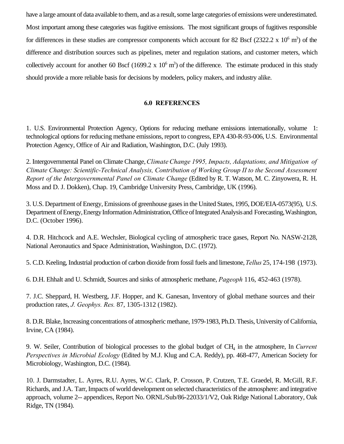have a large amount of data available to them, and as a result, some large categories of emissions were underestimated. Most important among these categories was fugitive emissions. The most significant groups of fugitives responsible for differences in these studies are compressor components which account for 82 Bscf (2322.2 x  $10^6$  m<sup>3</sup>) of the difference and distribution sources such as pipelines, meter and regulation stations, and customer meters, which collectively account for another 60 Bscf (1699.2 x  $10^6$  m<sup>3</sup>) of the difference. The estimate produced in this study should provide a more reliable basis for decisions by modelers, policy makers, and industry alike.

## **6.0 REFERENCES**

1. U.S. Environmental Protection Agency, Options for reducing methane emissions internationally, volume 1: technological options for reducing methane emissions, report to congress, EPA 430-R-93-006, U.S. Environmental Protection Agency, Office of Air and Radiation, Washington, D.C. (July 1993).

2. Intergovernmental Panel on Climate Change, *Climate Change 1995, Impacts, Adaptations, and Mitigation of Climate Change: Scientific-Technical Analysis, Contribution of Working Group II to the Second Assessment Report of the Intergovernmental Panel on Climate Change* (Edited by R. T. Watson, M. C. Zinyowera, R. H. Moss and D. J. Dokken), Chap. 19, Cambridge University Press, Cambridge, UK (1996).

3. U.S. Department of Energy, Emissions of greenhouse gases in the United States, 1995, DOE/EIA-0573(95), U.S. Department of Energy, Energy Information Administration, Office of Integrated Analysis and Forecasting, Washington, D.C. (October 1996).

4. D.R. Hitchcock and A.E. Wechsler, Biological cycling of atmospheric trace gases, Report No. NASW-2128, National Aeronautics and Space Administration, Washington, D.C. (1972).

5. C.D. Keeling, Industrial production of carbon dioxide from fossil fuels and limestone, *Tellus* 25, 174-198 (1973).

6. D.H. Ehhalt and U. Schmidt, Sources and sinks of atmospheric methane, *Pageoph* 116, 452-463 (1978).

7. J.C. Sheppard, H. Westberg, J.F. Hopper, and K. Ganesan, Inventory of global methane sources and their production rates, *J. Geophys. Res.* 87, 1305-1312 (1982).

8. D.R. Blake, Increasing concentrations of atmospheric methane, 1979-1983, Ph.D. Thesis, University of California, Irvine, CA (1984).

9. W. Seiler, Contribution of biological processes to the global budget of CH<sub>4</sub> in the atmosphere, In Current *Perspectives in Microbial Ecology* (Edited by M.J. Klug and C.A. Reddy), pp. 468-477, American Society for Microbiology, Washington, D.C. (1984).

10. J. Darmstadter, L. Ayres, R.U. Ayres, W.C. Clark, P. Crosson, P. Crutzen, T.E. Graedel, R. McGill, R.F. Richards, and J.A. Tarr, Impacts of world development on selected characteristics of the atmosphere: and integrative approach, volume 2-- appendices, Report No. ORNL/Sub/86-22033/1/V2, Oak Ridge National Laboratory, Oak Ridge, TN (1984).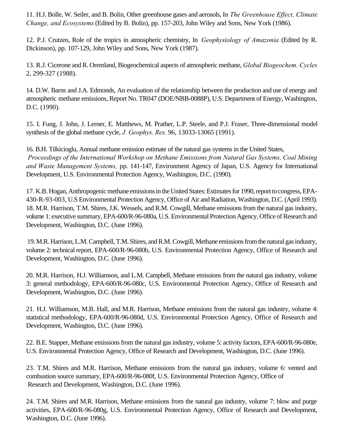11. H.J. Bolle, W. Seiler, and B. Bolin, Other greenhouse gases and aerosols, In *The Greenhouse Effect, Climate Change, and Ecosystems* (Edited by B. Bolin), pp. 157-203, John Wiley and Sons, New York (1986).

12. P.J. Crutzen, Role of the tropics in atmospheric chemistry, In *Geophysiology of Amazonia* (Edited by R. Dickinson), pp. 107-129, John Wiley and Sons, New York (1987).

13. R.J. Cicerone and R. Oremland, Biogeochemical aspects of atmospheric methane, *Global Biogeochem. Cycles* 2, 299-327 (1988).

14. D.W. Barns and J.A. Edmonds, An evaluation of the relationship between the production and use of energy and atmospheric methane emissions, Report No. TR047 (DOE/NBB-0088P), U.S. Department of Energy, Washington, D.C. (1990).

15. I. Fung, J. John, J. Lerner, E. Matthews, M. Prather, L.P. Steele, and P.J. Fraser, Three-dimensional model synthesis of the global methane cycle, *J. Geophys. Res.* 96, 13033-13065 (1991).

16. B.H. Tilkicioglu, Annual methane emission estimate of the natural gas systems in the United States, *Proceedings of the International Workshop on Methane Emissions from Natural Gas Systems, Coal Mining and Waste Management Systems,* pp. 141-147, Environment Agency of Japan, U.S. Agency for International Development, U.S. Environmental Protection Agency, Washington, D.C. (1990).

17. K.B. Hogan, Anthropogenic methane emissions in the United States: Estimates for 1990, report to congress, EPA-430-R-93-003, U.S Environmental Protection Agency, Office of Air and Radiation, Washington, D.C. (April 1993). 18. M.R. Harrison, T.M. Shires, J.K. Wessels, and R.M. Cowgill, Methane emissions from the natural gas industry, volume 1: executive summary, EPA-600/R-96-080a, U.S. Environmental Protection Agency, Office of Research and Development, Washington, D.C. (June 1996).

 19. M.R. Harrison, L.M. Campbell, T.M. Shires, and R.M. Cowgill, Methane emissions from the natural gas industry, volume 2: technical report, EPA-600/R-96-080b, U.S. Environmental Protection Agency, Office of Research and Development, Washington, D.C. (June 1996).

20. M.R. Harrison, H.J. Williamson, and L.M. Campbell, Methane emissions from the natural gas industry, volume 3: general methodology, EPA-600/R-96-080c, U.S. Environmental Protection Agency, Office of Research and Development, Washington, D.C. (June 1996).

21. H.J. Williamson, M.B. Hall, and M.R. Harrison, Methane emissions from the natural gas industry, volume 4: statistical methodology, EPA-600/R-96-080d, U.S. Environmental Protection Agency, Office of Research and Development, Washington, D.C. (June 1996).

22. B.E. Stapper, Methane emissions from the natural gas industry, volume 5: activity factors, EPA-600/R-96-080e, U.S. Environmental Protection Agency, Office of Research and Development, Washington, D.C. (June 1996).

23. T.M. Shires and M.R. Harrison, Methane emissions from the natural gas industry, volume 6: vented and combustion source summary, EPA-600/R-96-080f, U.S. Environmental Protection Agency, Office of Research and Development, Washington, D.C. (June 1996).

24. T.M. Shires and M.R. Harrison, Methane emissions from the natural gas industry, volume 7: blow and purge activities, EPA-600/R-96-080g, U.S. Environmental Protection Agency, Office of Research and Development, Washington, D.C. (June 1996).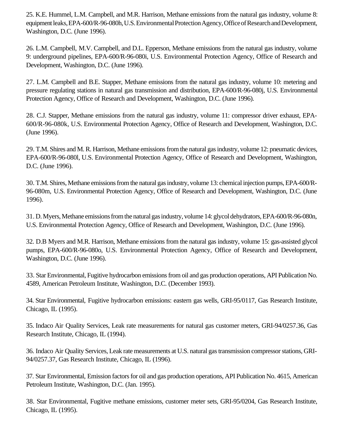25. K.E. Hummel, L.M. Campbell, and M.R. Harrison, Methane emissions from the natural gas industry, volume 8: equipment leaks, EPA-600/R-96-080h, U.S. Environmental Protection Agency, Office of Research and Development, Washington, D.C. (June 1996).

26. L.M. Campbell, M.V. Campbell, and D.L. Epperson, Methane emissions from the natural gas industry, volume 9: underground pipelines, EPA-600/R-96-080i, U.S. Environmental Protection Agency, Office of Research and Development, Washington, D.C. (June 1996).

27. L.M. Campbell and B.E. Stapper, Methane emissions from the natural gas industry, volume 10: metering and pressure regulating stations in natural gas transmission and distribution, EPA-600/R-96-080j, U.S. Environmental Protection Agency, Office of Research and Development, Washington, D.C. (June 1996).

28. C.J. Stapper, Methane emissions from the natural gas industry, volume 11: compressor driver exhaust, EPA-600/R-96-080k, U.S. Environmental Protection Agency, Office of Research and Development, Washington, D.C. (June 1996).

29. T.M. Shires and M. R. Harrison, Methane emissions from the natural gas industry, volume 12: pneumatic devices, EPA-600/R-96-080l, U.S. Environmental Protection Agency, Office of Research and Development, Washington, D.C. (June 1996).

30. T.M. Shires, Methane emissions from the natural gas industry, volume 13: chemical injection pumps, EPA-600/R-96-080m, U.S. Environmental Protection Agency, Office of Research and Development, Washington, D.C. (June 1996).

31. D. Myers, Methane emissions from the natural gas industry, volume 14: glycol dehydrators, EPA-600/R-96-080n, U.S. Environmental Protection Agency, Office of Research and Development, Washington, D.C. (June 1996).

32. D.B Myers and M.R. Harrison, Methane emissions from the natural gas industry, volume 15: gas-assisted glycol pumps, EPA-600/R-96-080o, U.S. Environmental Protection Agency, Office of Research and Development, Washington, D.C. (June 1996).

33. Star Environmental, Fugitive hydrocarbon emissions from oil and gas production operations, API Publication No. 4589, American Petroleum Institute, Washington, D.C. (December 1993).

34. Star Environmental, Fugitive hydrocarbon emissions: eastern gas wells, GRI-95/0117, Gas Research Institute, Chicago, IL (1995).

35. Indaco Air Quality Services, Leak rate measurements for natural gas customer meters, GRI-94/0257.36, Gas Research Institute, Chicago, IL (1994).

36. Indaco Air Quality Services, Leak rate measurements at U.S. natural gas transmission compressor stations, GRI-94/0257.37, Gas Research Institute, Chicago, IL (1996).

37. Star Environmental, Emission factors for oil and gas production operations, API Publication No. 4615, American Petroleum Institute, Washington, D.C. (Jan. 1995).

38. Star Environmental, Fugitive methane emissions, customer meter sets, GRI-95/0204, Gas Research Institute, Chicago, IL (1995).